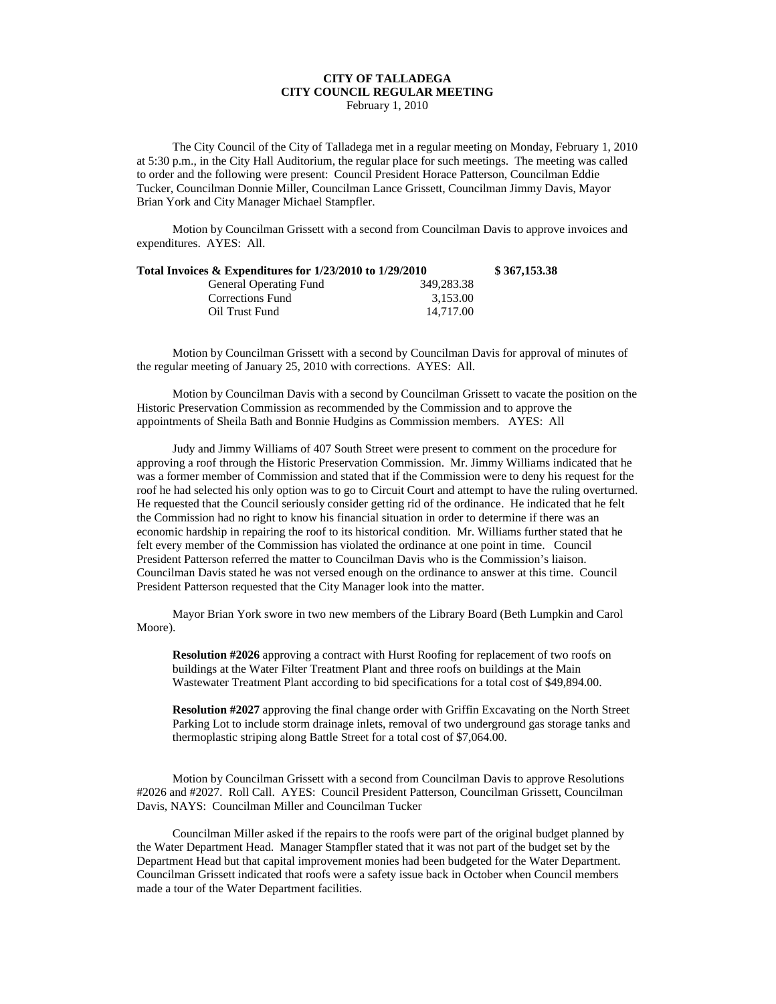## **CITY OF TALLADEGA CITY COUNCIL REGULAR MEETING**

February 1, 2010

The City Council of the City of Talladega met in a regular meeting on Monday, February 1, 2010 at 5:30 p.m., in the City Hall Auditorium, the regular place for such meetings. The meeting was called to order and the following were present: Council President Horace Patterson, Councilman Eddie Tucker, Councilman Donnie Miller, Councilman Lance Grissett, Councilman Jimmy Davis, Mayor Brian York and City Manager Michael Stampfler.

Motion by Councilman Grissett with a second from Councilman Davis to approve invoices and expenditures. AYES: All.

| Total Invoices & Expenditures for 1/23/2010 to 1/29/2010 |            | \$367,153.38 |
|----------------------------------------------------------|------------|--------------|
| <b>General Operating Fund</b>                            | 349.283.38 |              |
| Corrections Fund                                         | 3.153.00   |              |
| Oil Trust Fund                                           | 14.717.00  |              |

Motion by Councilman Grissett with a second by Councilman Davis for approval of minutes of the regular meeting of January 25, 2010 with corrections. AYES: All.

Motion by Councilman Davis with a second by Councilman Grissett to vacate the position on the Historic Preservation Commission as recommended by the Commission and to approve the appointments of Sheila Bath and Bonnie Hudgins as Commission members. AYES: All

Judy and Jimmy Williams of 407 South Street were present to comment on the procedure for approving a roof through the Historic Preservation Commission. Mr. Jimmy Williams indicated that he was a former member of Commission and stated that if the Commission were to deny his request for the roof he had selected his only option was to go to Circuit Court and attempt to have the ruling overturned. He requested that the Council seriously consider getting rid of the ordinance. He indicated that he felt the Commission had no right to know his financial situation in order to determine if there was an economic hardship in repairing the roof to its historical condition. Mr. Williams further stated that he felt every member of the Commission has violated the ordinance at one point in time. Council President Patterson referred the matter to Councilman Davis who is the Commission's liaison. Councilman Davis stated he was not versed enough on the ordinance to answer at this time. Council President Patterson requested that the City Manager look into the matter.

Mayor Brian York swore in two new members of the Library Board (Beth Lumpkin and Carol Moore).

**Resolution #2026** approving a contract with Hurst Roofing for replacement of two roofs on buildings at the Water Filter Treatment Plant and three roofs on buildings at the Main Wastewater Treatment Plant according to bid specifications for a total cost of \$49,894.00.

**Resolution #2027** approving the final change order with Griffin Excavating on the North Street Parking Lot to include storm drainage inlets, removal of two underground gas storage tanks and thermoplastic striping along Battle Street for a total cost of \$7,064.00.

Motion by Councilman Grissett with a second from Councilman Davis to approve Resolutions #2026 and #2027. Roll Call. AYES: Council President Patterson, Councilman Grissett, Councilman Davis, NAYS: Councilman Miller and Councilman Tucker

Councilman Miller asked if the repairs to the roofs were part of the original budget planned by the Water Department Head. Manager Stampfler stated that it was not part of the budget set by the Department Head but that capital improvement monies had been budgeted for the Water Department. Councilman Grissett indicated that roofs were a safety issue back in October when Council members made a tour of the Water Department facilities.